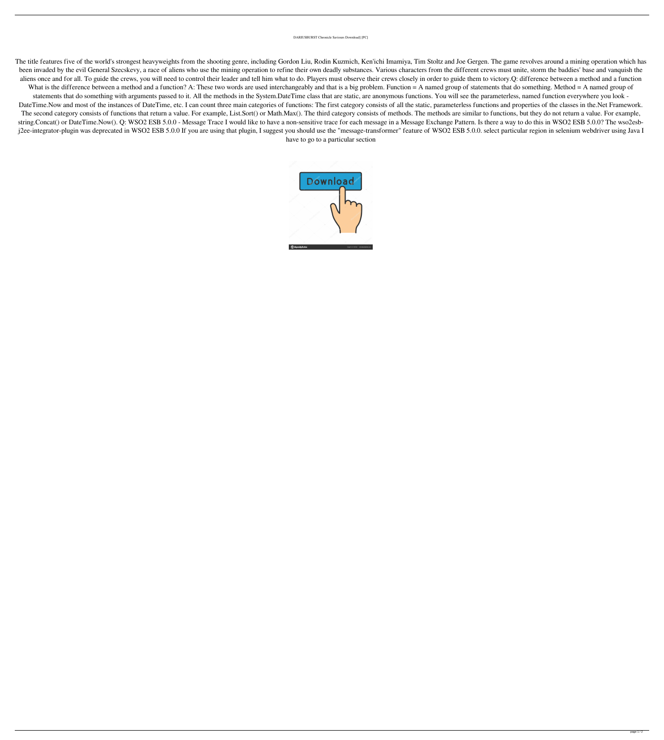## DARIUSBURST Chronicle Saviours Download] [PC]

The title features five of the world's strongest heavyweights from the shooting genre, including Gordon Liu, Rodin Kuzmich, Ken'ichi Imamiya, Tim Stoltz and Joe Gergen. The game revolves around a mining operation which has been invaded by the evil General Szecskevy, a race of aliens who use the mining operation to refine their own deadly substances. Various characters from the different crews must unite, storm the baddies' base and vanquish aliens once and for all. To guide the crews, you will need to control their leader and tell him what to do. Players must observe their crews closely in order to guide them to victory.Q: difference between a method and a fu What is the difference between a method and a function? A: These two words are used interchangeably and that is a big problem. Function = A named group of statements that do something. Method = A named group of statements that do something with arguments passed to it. All the methods in the System.DateTime class that are static, are anonymous functions. You will see the parameterless, named function everywhere you look - DateTime.Now and most of the instances of DateTime, etc. I can count three main categories of functions: The first category consists of all the static, parameterless functions and properties of the classes in the.Net Frame The second category consists of functions that return a value. For example, List.Sort() or Math.Max(). The third category consists of methods are similar to functions, but they do not return a value. For example, string.Concat() or DateTime.Now(). Q: WSO2 ESB 5.0.0 - Message Trace I would like to have a non-sensitive trace for each message in a Message Exchange Pattern. Is there a way to do this in WSO2 ESB 5.0.0? The wso2esbj2ee-integrator-plugin was deprecated in WSO2 ESB 5.0.0 If you are using that plugin, I suggest you should use the "message-transformer" feature of WSO2 ESB 5.0.0. select particular region in selenium webdriver using Java have to go to a particular section